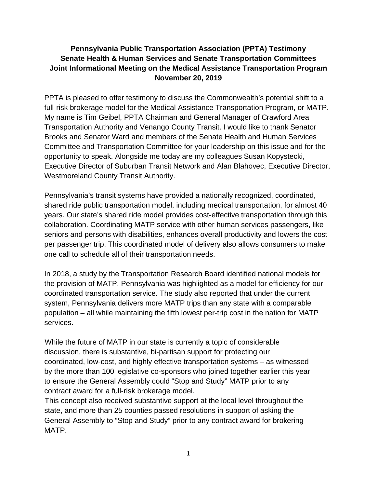# **Pennsylvania Public Transportation Association (PPTA) Testimony Senate Health & Human Services and Senate Transportation Committees Joint Informational Meeting on the Medical Assistance Transportation Program November 20, 2019**

PPTA is pleased to offer testimony to discuss the Commonwealth's potential shift to a full-risk brokerage model for the Medical Assistance Transportation Program, or MATP. My name is Tim Geibel, PPTA Chairman and General Manager of Crawford Area Transportation Authority and Venango County Transit. I would like to thank Senator Brooks and Senator Ward and members of the Senate Health and Human Services Committee and Transportation Committee for your leadership on this issue and for the opportunity to speak. Alongside me today are my colleagues Susan Kopystecki, Executive Director of Suburban Transit Network and Alan Blahovec, Executive Director, Westmoreland County Transit Authority.

Pennsylvania's transit systems have provided a nationally recognized, coordinated, shared ride public transportation model, including medical transportation, for almost 40 years. Our state's shared ride model provides cost-effective transportation through this collaboration. Coordinating MATP service with other human services passengers, like seniors and persons with disabilities, enhances overall productivity and lowers the cost per passenger trip. This coordinated model of delivery also allows consumers to make one call to schedule all of their transportation needs.

In 2018, a study by the Transportation Research Board identified national models for the provision of MATP. Pennsylvania was highlighted as a model for efficiency for our coordinated transportation service. The study also reported that under the current system, Pennsylvania delivers more MATP trips than any state with a comparable population – all while maintaining the fifth lowest per-trip cost in the nation for MATP services.

While the future of MATP in our state is currently a topic of considerable discussion, there is substantive, bi-partisan support for protecting our coordinated, low-cost, and highly effective transportation systems – as witnessed by the more than 100 legislative co-sponsors who joined together earlier this year to ensure the General Assembly could "Stop and Study" MATP prior to any contract award for a full-risk brokerage model.

This concept also received substantive support at the local level throughout the state, and more than 25 counties passed resolutions in support of asking the General Assembly to "Stop and Study" prior to any contract award for brokering MATP.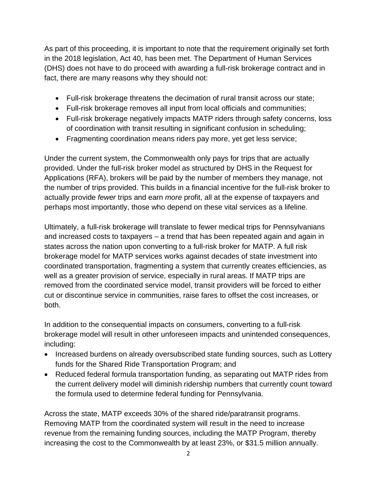As part of this proceeding, it is important to note that the requirement originally set forth in the 2018 legislation, Act 40, has been met. The Department of Human Services (DHS) does not have to do proceed with awarding a full-risk brokerage contract and in fact, there are many reasons why they should not:

- Full-risk brokerage threatens the decimation of rural transit across our state;
- Full-risk brokerage removes all input from local officials and communities;
- Full-risk brokerage negatively impacts MATP riders through safety concerns, loss of coordination with transit resulting in significant confusion in scheduling;
- Fragmenting coordination means riders pay more, yet get less service;

Under the current system, the Commonwealth only pays for trips that are actually provided. Under the full-risk broker model as structured by DHS in the Request for Applications (RFA), brokers will be paid by the number of members they manage, not the number of trips provided. This builds in a financial incentive for the full-risk broker to actually provide *fewer* trips and earn *more* profit, all at the expense of taxpayers and perhaps most importantly, those who depend on these vital services as a lifeline.

Ultimately, a full-risk brokerage will translate to fewer medical trips for Pennsylvanians and increased costs to taxpayers – a trend that has been repeated again and again in states across the nation upon converting to a full-risk broker for MATP. A full risk brokerage model for MATP services works against decades of state investment into coordinated transportation, fragmenting a system that currently creates efficiencies, as well as a greater provision of service, especially in rural areas. If MATP trips are removed from the coordinated service model, transit providers will be forced to either cut or discontinue service in communities, raise fares to offset the cost increases, or both.

In addition to the consequential impacts on consumers, converting to a full-risk brokerage model will result in other unforeseen impacts and unintended consequences, including:

- Increased burdens on already oversubscribed state funding sources, such as Lottery funds for the Shared Ride Transportation Program; and
- Reduced federal formula transportation funding, as separating out MATP rides from the current delivery model will diminish ridership numbers that currently count toward the formula used to determine federal funding for Pennsylvania.

Across the state, MATP exceeds 30% of the shared ride/paratransit programs. Removing MATP from the coordinated system will result in the need to increase revenue from the remaining funding sources, including the MATP Program, thereby increasing the cost to the Commonwealth by at least 23%, or \$31.5 million annually.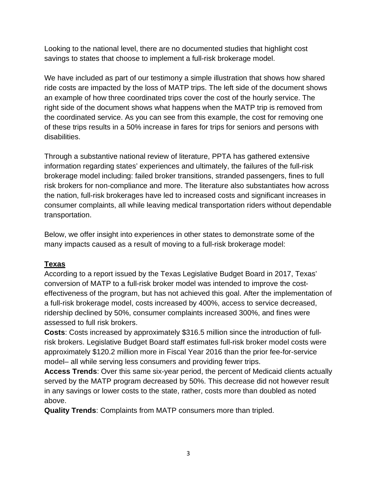Looking to the national level, there are no documented studies that highlight cost savings to states that choose to implement a full-risk brokerage model.

We have included as part of our testimony a simple illustration that shows how shared ride costs are impacted by the loss of MATP trips. The left side of the document shows an example of how three coordinated trips cover the cost of the hourly service. The right side of the document shows what happens when the MATP trip is removed from the coordinated service. As you can see from this example, the cost for removing one of these trips results in a 50% increase in fares for trips for seniors and persons with disabilities.

Through a substantive national review of literature, PPTA has gathered extensive information regarding states' experiences and ultimately, the failures of the full-risk brokerage model including: failed broker transitions, stranded passengers, fines to full risk brokers for non-compliance and more. The literature also substantiates how across the nation, full-risk brokerages have led to increased costs and significant increases in consumer complaints, all while leaving medical transportation riders without dependable transportation.

Below, we offer insight into experiences in other states to demonstrate some of the many impacts caused as a result of moving to a full-risk brokerage model:

# **Texas**

According to a report issued by the Texas Legislative Budget Board in 2017, Texas' conversion of MATP to a full-risk broker model was intended to improve the costeffectiveness of the program, but has not achieved this goal. After the implementation of a full-risk brokerage model, costs increased by 400%, access to service decreased, ridership declined by 50%, consumer complaints increased 300%, and fines were assessed to full risk brokers.

**Costs**: Costs increased by approximately \$316.5 million since the introduction of fullrisk brokers. Legislative Budget Board staff estimates full-risk broker model costs were approximately \$120.2 million more in Fiscal Year 2016 than the prior fee-for-service model– all while serving less consumers and providing fewer trips.

**Access Trends**: Over this same six-year period, the percent of Medicaid clients actually served by the MATP program decreased by 50%. This decrease did not however result in any savings or lower costs to the state, rather, costs more than doubled as noted above.

**Quality Trends**: Complaints from MATP consumers more than tripled.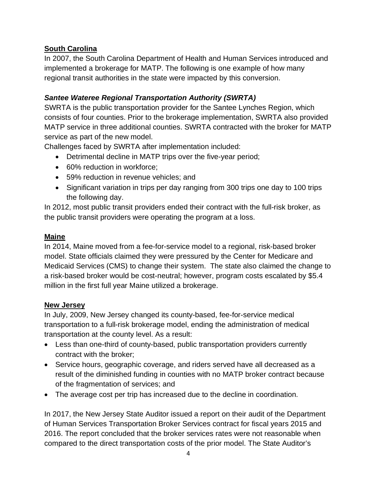# **South Carolina**

In 2007, the South Carolina Department of Health and Human Services introduced and implemented a brokerage for MATP. The following is one example of how many regional transit authorities in the state were impacted by this conversion.

# *Santee Wateree Regional Transportation Authority (SWRTA)*

SWRTA is the public transportation provider for the Santee Lynches Region, which consists of four counties. Prior to the brokerage implementation, SWRTA also provided MATP service in three additional counties. SWRTA contracted with the broker for MATP service as part of the new model.

Challenges faced by SWRTA after implementation included:

- Detrimental decline in MATP trips over the five-year period;
- 60% reduction in workforce:
- 59% reduction in revenue vehicles; and
- Significant variation in trips per day ranging from 300 trips one day to 100 trips the following day.

In 2012, most public transit providers ended their contract with the full-risk broker, as the public transit providers were operating the program at a loss.

# **Maine**

In 2014, Maine moved from a fee-for-service model to a regional, risk-based broker model. State officials claimed they were pressured by the Center for Medicare and Medicaid Services (CMS) to change their system. The state also claimed the change to a risk-based broker would be cost-neutral; however, program costs escalated by \$5.4 million in the first full year Maine utilized a brokerage.

## **New Jersey**

In July, 2009, New Jersey changed its county-based, fee-for-service medical transportation to a full-risk brokerage model, ending the administration of medical transportation at the county level. As a result:

- Less than one-third of county-based, public transportation providers currently contract with the broker;
- Service hours, geographic coverage, and riders served have all decreased as a result of the diminished funding in counties with no MATP broker contract because of the fragmentation of services; and
- The average cost per trip has increased due to the decline in coordination.

In 2017, the New Jersey State Auditor issued a report on their audit of the Department of Human Services Transportation Broker Services contract for fiscal years 2015 and 2016. The report concluded that the broker services rates were not reasonable when compared to the direct transportation costs of the prior model. The State Auditor's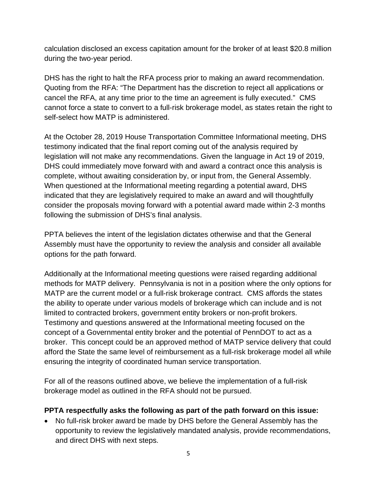calculation disclosed an excess capitation amount for the broker of at least \$20.8 million during the two-year period.

DHS has the right to halt the RFA process prior to making an award recommendation. Quoting from the RFA: "The Department has the discretion to reject all applications or cancel the RFA, at any time prior to the time an agreement is fully executed." CMS cannot force a state to convert to a full-risk brokerage model, as states retain the right to self-select how MATP is administered.

At the October 28, 2019 House Transportation Committee Informational meeting, DHS testimony indicated that the final report coming out of the analysis required by legislation will not make any recommendations. Given the language in Act 19 of 2019, DHS could immediately move forward with and award a contract once this analysis is complete, without awaiting consideration by, or input from, the General Assembly. When questioned at the Informational meeting regarding a potential award, DHS indicated that they are legislatively required to make an award and will thoughtfully consider the proposals moving forward with a potential award made within 2-3 months following the submission of DHS's final analysis.

PPTA believes the intent of the legislation dictates otherwise and that the General Assembly must have the opportunity to review the analysis and consider all available options for the path forward.

Additionally at the Informational meeting questions were raised regarding additional methods for MATP delivery. Pennsylvania is not in a position where the only options for MATP are the current model or a full-risk brokerage contract. CMS affords the states the ability to operate under various models of brokerage which can include and is not limited to contracted brokers, government entity brokers or non-profit brokers. Testimony and questions answered at the Informational meeting focused on the concept of a Governmental entity broker and the potential of PennDOT to act as a broker. This concept could be an approved method of MATP service delivery that could afford the State the same level of reimbursement as a full-risk brokerage model all while ensuring the integrity of coordinated human service transportation.

For all of the reasons outlined above, we believe the implementation of a full-risk brokerage model as outlined in the RFA should not be pursued.

## **PPTA respectfully asks the following as part of the path forward on this issue:**

• No full-risk broker award be made by DHS before the General Assembly has the opportunity to review the legislatively mandated analysis, provide recommendations, and direct DHS with next steps.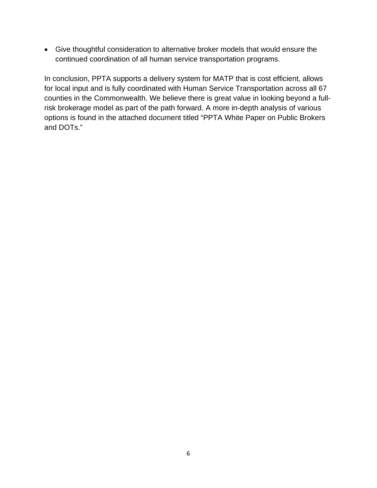• Give thoughtful consideration to alternative broker models that would ensure the continued coordination of all human service transportation programs.

In conclusion, PPTA supports a delivery system for MATP that is cost efficient, allows for local input and is fully coordinated with Human Service Transportation across all 67 counties in the Commonwealth. We believe there is great value in looking beyond a fullrisk brokerage model as part of the path forward. A more in-depth analysis of various options is found in the attached document titled "PPTA White Paper on Public Brokers and DOTs."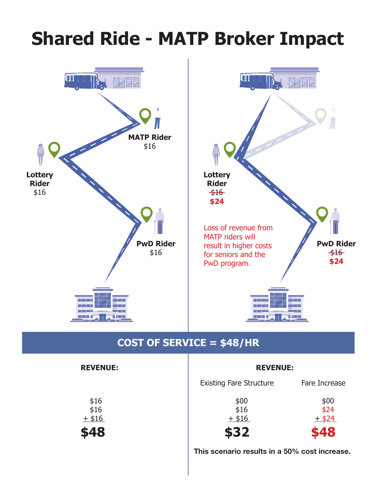# **Shared Ride - MATP Broker Impact**



# **COST OF SERVICE = \$48/HR**

| <b>REVENUE:</b>          | <b>REVENUE:</b>                |                          |
|--------------------------|--------------------------------|--------------------------|
|                          | <b>Existing Fare Structure</b> | Fare Increase            |
| \$16<br>\$16<br>$+$ \$16 | \$00<br>\$16<br>$+$ \$16       | \$00<br>\$24<br>$+$ \$24 |
| \$48                     | \$32                           | \$48                     |
|                          |                                |                          |

This scenario results in a 50% cost increase.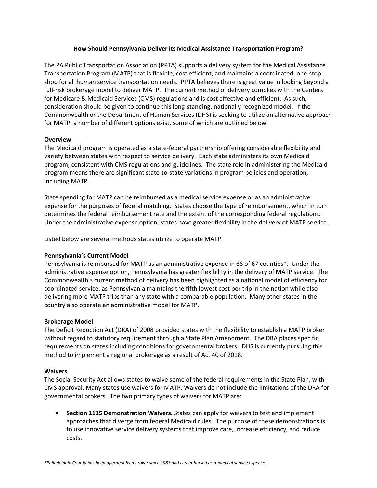### **How Should Pennsylvania Deliver its Medical Assistance Transportation Program?**

The PA Public Transportation Association (PPTA) supports a delivery system for the Medical Assistance Transportation Program (MATP) that is flexible, cost efficient, and maintains a coordinated, one-stop shop for all human service transportation needs. PPTA believes there is great value in looking beyond a full-risk brokerage model to deliver MATP. The current method of delivery complies with the Centers for Medicare & Medicaid Services (CMS) regulations and is cost effective and efficient. As such, consideration should be given to continue this long-standing, nationally recognized model. If the Commonwealth or the Department of Human Services (DHS) is seeking to utilize an alternative approach for MATP, a number of different options exist, some of which are outlined below.

### **Overview**

The Medicaid program is operated as a state-federal partnership offering considerable flexibility and variety between states with respect to service delivery. Each state administers its own Medicaid program, consistent with CMS regulations and guidelines. The state role in administering the Medicaid program means there are significant state-to-state variations in program policies and operation, including MATP.

State spending for MATP can be reimbursed as a medical service expense or as an administrative expense for the purposes of federal matching. States choose the type of reimbursement, which in turn determines the federal reimbursement rate and the extent of the corresponding federal regulations. Under the administrative expense option, states have greater flexibility in the delivery of MATP service.

Listed below are several methods states utilize to operate MATP.

### **Pennsylvania's Current Model**

Pennsylvania is reimbursed for MATP as an administrative expense in 66 of 67 counties\*. Under the administrative expense option, Pennsylvania has greater flexibility in the delivery of MATP service. The Commonwealth's current method of delivery has been highlighted as a national model of efficiency for coordinated service, as Pennsylvania maintains the fifth lowest cost per trip in the nation while also delivering more MATP trips than any state with a comparable population. Many other states in the country also operate an administrative model for MATP.

### **Brokerage Model**

The Deficit Reduction Act (DRA) of 2008 provided states with the flexibility to establish a MATP broker without regard to statutory requirement through a State Plan Amendment. The DRA places specific requirements on states including conditions for governmental brokers. DHS is currently pursuing this method to implement a regional brokerage as a result of Act 40 of 2018.

### **Waivers**

The Social Security Act allows states to waive some of the federal requirements in the State Plan, with CMS approval. Many states use waivers for MATP. Waivers do not include the limitations of the DRA for governmental brokers. The two primary types of waivers for MATP are:

• **Section 1115 Demonstration Waivers.** States can apply for waivers to test and implement approaches that diverge from federal Medicaid rules. The purpose of these demonstrations is to use innovative service delivery systems that improve care, increase efficiency, and reduce costs.